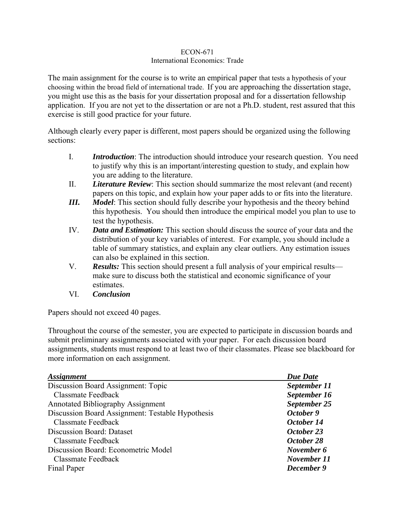## ECON-671 International Economics: Trade

The main assignment for the course is to write an empirical paper that tests a hypothesis of your choosing within the broad field of international trade. If you are approaching the dissertation stage, you might use this as the basis for your dissertation proposal and for a dissertation fellowship application. If you are not yet to the dissertation or are not a Ph.D. student, rest assured that this exercise is still good practice for your future.

Although clearly every paper is different, most papers should be organized using the following sections:

- I. *Introduction*: The introduction should introduce your research question. You need to justify why this is an important/interesting question to study, and explain how you are adding to the literature.
- II. *Literature Review*: This section should summarize the most relevant (and recent) papers on this topic, and explain how your paper adds to or fits into the literature.
- *III. Model*: This section should fully describe your hypothesis and the theory behind this hypothesis. You should then introduce the empirical model you plan to use to test the hypothesis.
- IV. *Data and Estimation:* This section should discuss the source of your data and the distribution of your key variables of interest. For example, you should include a table of summary statistics, and explain any clear outliers. Any estimation issues can also be explained in this section.
- V. *Results:* This section should present a full analysis of your empirical results make sure to discuss both the statistical and economic significance of your estimates.
- VI. *Conclusion*

Papers should not exceed 40 pages.

Throughout the course of the semester, you are expected to participate in discussion boards and submit preliminary assignments associated with your paper. For each discussion board assignments, students must respond to at least two of their classmates. Please see blackboard for more information on each assignment.

| <i><b>Assignment</b></i>                         | <b>Due Date</b> |
|--------------------------------------------------|-----------------|
| Discussion Board Assignment: Topic               | September 11    |
| Classmate Feedback                               | September 16    |
| <b>Annotated Bibliography Assignment</b>         | September 25    |
| Discussion Board Assignment: Testable Hypothesis | October 9       |
| Classmate Feedback                               | October 14      |
| <b>Discussion Board: Dataset</b>                 | October 23      |
| Classmate Feedback                               | October 28      |
| Discussion Board: Econometric Model              | November 6      |
| Classmate Feedback                               | November 11     |
| Final Paper                                      | December 9      |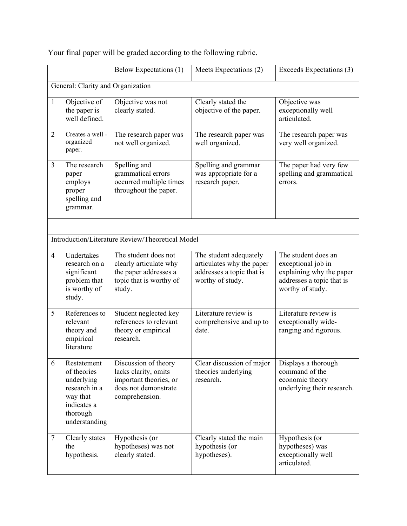|                                   |                                                                                                                   | Below Expectations (1)                                                                                           | Meets Expectations (2)                                                                               | Exceeds Expectations (3)                                                                                               |
|-----------------------------------|-------------------------------------------------------------------------------------------------------------------|------------------------------------------------------------------------------------------------------------------|------------------------------------------------------------------------------------------------------|------------------------------------------------------------------------------------------------------------------------|
| General: Clarity and Organization |                                                                                                                   |                                                                                                                  |                                                                                                      |                                                                                                                        |
| $\mathbf{1}$                      | Objective of<br>the paper is<br>well defined.                                                                     | Objective was not<br>clearly stated.                                                                             | Clearly stated the<br>objective of the paper.                                                        | Objective was<br>exceptionally well<br>articulated.                                                                    |
| $\overline{2}$                    | Creates a well -<br>organized<br>paper.                                                                           | The research paper was<br>not well organized.                                                                    | The research paper was<br>well organized.                                                            | The research paper was<br>very well organized.                                                                         |
| 3                                 | The research<br>paper<br>employs<br>proper<br>spelling and<br>grammar.                                            | Spelling and<br>grammatical errors<br>occurred multiple times<br>throughout the paper.                           | Spelling and grammar<br>was appropriate for a<br>research paper.                                     | The paper had very few<br>spelling and grammatical<br>errors.                                                          |
|                                   |                                                                                                                   |                                                                                                                  |                                                                                                      |                                                                                                                        |
|                                   |                                                                                                                   | Introduction/Literature Review/Theoretical Model                                                                 |                                                                                                      |                                                                                                                        |
| $\overline{4}$                    | Undertakes<br>research on a<br>significant<br>problem that<br>is worthy of<br>study.                              | The student does not<br>clearly articulate why<br>the paper addresses a<br>topic that is worthy of<br>study.     | The student adequately<br>articulates why the paper<br>addresses a topic that is<br>worthy of study. | The student does an<br>exceptional job in<br>explaining why the paper<br>addresses a topic that is<br>worthy of study. |
| 5                                 | References to<br>relevant<br>theory and<br>empirical<br>literature                                                | Student neglected key<br>references to relevant<br>theory or empirical<br>research.                              | Literature review is<br>comprehensive and up to<br>date.                                             | Literature review is<br>exceptionally wide-<br>ranging and rigorous.                                                   |
| 6                                 | Restatement<br>of theories<br>underlying<br>research in a<br>way that<br>indicates a<br>thorough<br>understanding | Discussion of theory<br>lacks clarity, omits<br>important theories, or<br>does not demonstrate<br>comprehension. | Clear discussion of major<br>theories underlying<br>research.                                        | Displays a thorough<br>command of the<br>economic theory<br>underlying their research.                                 |
| $\tau$                            | Clearly states<br>the<br>hypothesis.                                                                              | Hypothesis (or<br>hypotheses) was not<br>clearly stated.                                                         | Clearly stated the main<br>hypothesis (or<br>hypotheses).                                            | Hypothesis (or<br>hypotheses) was<br>exceptionally well<br>articulated.                                                |

Your final paper will be graded according to the following rubric.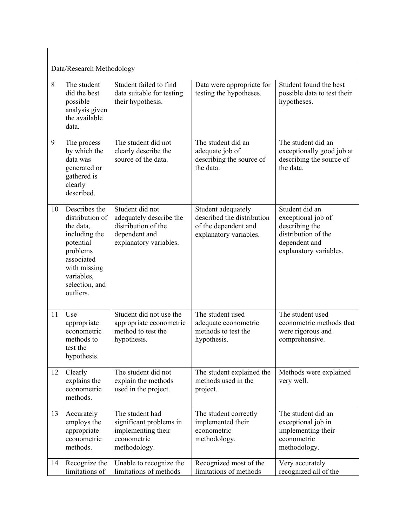| Data/Research Methodology |                                                                                                                                                                    |                                                                                                              |                                                                                                    |                                                                                                                          |  |
|---------------------------|--------------------------------------------------------------------------------------------------------------------------------------------------------------------|--------------------------------------------------------------------------------------------------------------|----------------------------------------------------------------------------------------------------|--------------------------------------------------------------------------------------------------------------------------|--|
| 8                         | The student<br>did the best<br>possible<br>analysis given<br>the available<br>data.                                                                                | Student failed to find<br>data suitable for testing<br>their hypothesis.                                     | Data were appropriate for<br>testing the hypotheses.                                               | Student found the best<br>possible data to test their<br>hypotheses.                                                     |  |
| 9                         | The process<br>by which the<br>data was<br>generated or<br>gathered is<br>clearly<br>described.                                                                    | The student did not<br>clearly describe the<br>source of the data.                                           | The student did an<br>adequate job of<br>describing the source of<br>the data.                     | The student did an<br>exceptionally good job at<br>describing the source of<br>the data.                                 |  |
| 10                        | Describes the<br>distribution of<br>the data,<br>including the<br>potential<br>problems<br>associated<br>with missing<br>variables,<br>selection, and<br>outliers. | Student did not<br>adequately describe the<br>distribution of the<br>dependent and<br>explanatory variables. | Student adequately<br>described the distribution<br>of the dependent and<br>explanatory variables. | Student did an<br>exceptional job of<br>describing the<br>distribution of the<br>dependent and<br>explanatory variables. |  |
| 11                        | Use<br>appropriate<br>econometric<br>methods to<br>test the<br>hypothesis.                                                                                         | Student did not use the<br>appropriate econometric<br>method to test the<br>hypothesis.                      | The student used<br>adequate econometric<br>methods to test the<br>hypothesis.                     | The student used<br>econometric methods that<br>were rigorous and<br>comprehensive.                                      |  |
| 12                        | Clearly<br>explains the<br>econometric<br>methods.                                                                                                                 | The student did not<br>explain the methods<br>used in the project.                                           | The student explained the<br>methods used in the<br>project.                                       | Methods were explained<br>very well.                                                                                     |  |
| 13                        | Accurately<br>employs the<br>appropriate<br>econometric<br>methods.                                                                                                | The student had<br>significant problems in<br>implementing their<br>econometric<br>methodology.              | The student correctly<br>implemented their<br>econometric<br>methodology.                          | The student did an<br>exceptional job in<br>implementing their<br>econometric<br>methodology.                            |  |
| 14                        | Recognize the<br>limitations of                                                                                                                                    | Unable to recognize the<br>limitations of methods                                                            | Recognized most of the<br>limitations of methods                                                   | Very accurately<br>recognized all of the                                                                                 |  |